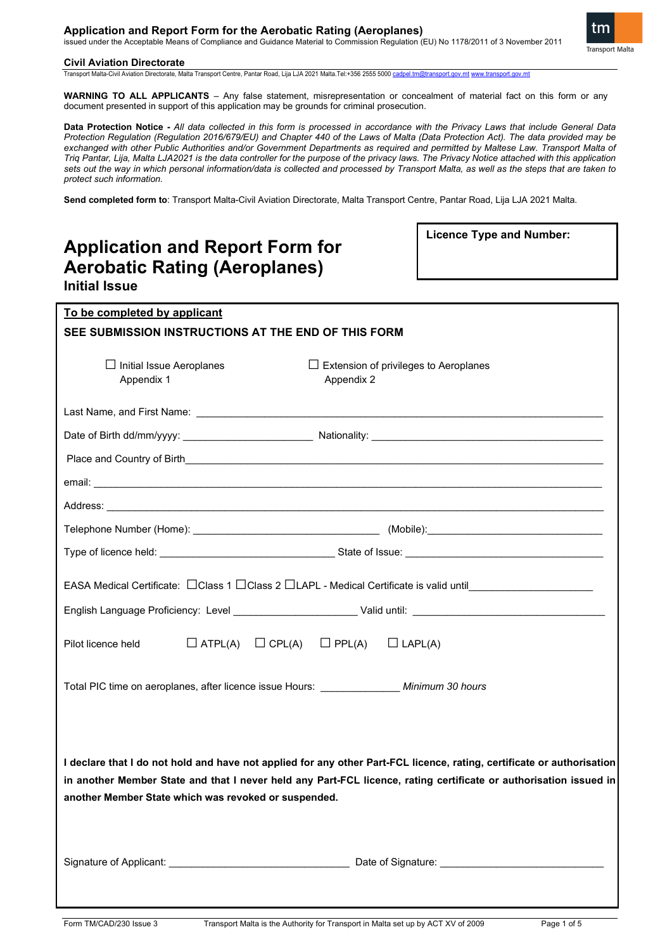# **Application and Report Form for the Aerobatic Rating (Aeroplanes)**

issued under the Acceptable Means of Compliance and Guidance Material to Commission Regulation (EU) No 1178/2011 of 3 November 2011



#### **Civil Aviation Directorate**

Transport Malta-Civil Aviation Directorate, Malta Transport Centre, Pantar Road, Lija LJA 2021 Malta.Tel:+356 2555 500[0 cadpel.tm@transport.gov.mt](mailto:cadpel.tm@transport.gov.mt) [www.transport.gov.mt](http://www.transport.gov.mt/)

WARNING TO ALL APPLICANTS – Any false statement, misrepresentation or concealment of material fact on this form or any document presented in support of this application may be grounds for criminal prosecution.

**Data Protection Notice -** *All data collected in this form is processed in accordance with the Privacy Laws that include General Data Protection Regulation (Regulation 2016/679/EU) and Chapter 440 of the Laws of Malta (Data Protection Act). The data provided may be exchanged with other Public Authorities and/or Government Departments as required and permitted by Maltese Law. Transport Malta of Triq Pantar, Lija, Malta LJA2021 is the data controller for the purpose of the privacy laws. The Privacy Notice attached with this application sets out the way in which personal information/data is collected and processed by Transport Malta, as well as the steps that are taken to protect such information.*

**Send completed form to**: Transport Malta-Civil Aviation Directorate, Malta Transport Centre, Pantar Road, Lija LJA 2021 Malta.

| <b>Application and Report Form for</b><br><b>Aerobatic Rating (Aeroplanes)</b><br><b>Initial Issue</b>                                                                                                                                                                                              | <b>Licence Type and Number:</b> |  |  |  |
|-----------------------------------------------------------------------------------------------------------------------------------------------------------------------------------------------------------------------------------------------------------------------------------------------------|---------------------------------|--|--|--|
| To be completed by applicant                                                                                                                                                                                                                                                                        |                                 |  |  |  |
| SEE SUBMISSION INSTRUCTIONS AT THE END OF THIS FORM                                                                                                                                                                                                                                                 |                                 |  |  |  |
| $\Box$ Initial Issue Aeroplanes<br>$\Box$ Extension of privileges to Aeroplanes<br>Appendix 1<br>Appendix 2                                                                                                                                                                                         |                                 |  |  |  |
|                                                                                                                                                                                                                                                                                                     |                                 |  |  |  |
|                                                                                                                                                                                                                                                                                                     |                                 |  |  |  |
|                                                                                                                                                                                                                                                                                                     |                                 |  |  |  |
|                                                                                                                                                                                                                                                                                                     |                                 |  |  |  |
|                                                                                                                                                                                                                                                                                                     |                                 |  |  |  |
|                                                                                                                                                                                                                                                                                                     |                                 |  |  |  |
|                                                                                                                                                                                                                                                                                                     |                                 |  |  |  |
| EASA Medical Certificate: □Class 1 □Class 2 □LAPL - Medical Certificate is valid until________________________                                                                                                                                                                                      |                                 |  |  |  |
|                                                                                                                                                                                                                                                                                                     |                                 |  |  |  |
| $\Box$ ATPL(A) $\Box$ CPL(A) $\Box$ PPL(A) $\Box$ LAPL(A)<br>Pilot licence held                                                                                                                                                                                                                     |                                 |  |  |  |
| Total PIC time on aeroplanes, after licence issue Hours: ______________ Minimum 30 hours                                                                                                                                                                                                            |                                 |  |  |  |
| I declare that I do not hold and have not applied for any other Part-FCL licence, rating, certificate or authorisation<br>in another Member State and that I never held any Part-FCL licence, rating certificate or authorisation issued in<br>another Member State which was revoked or suspended. |                                 |  |  |  |
| Signature of Applicant: <u>example and the set of Signature and Date of Signature:</u>                                                                                                                                                                                                              |                                 |  |  |  |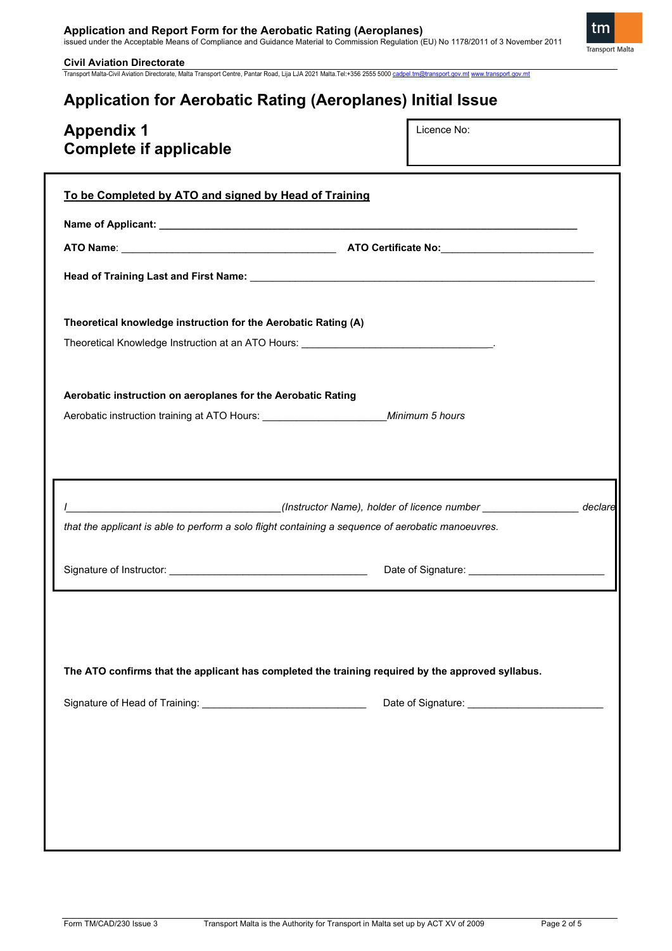# **Application and Report Form for the Aerobatic Rating (Aeroplanes)**<br>issued under the Acceptable Means of Compliance and Guidance Material to Commission Regulation (EU) No 1178/2011 of 3 November 2011

**Civil Aviation Directorate**  Transport Malta-Civil Aviation Directorate, Malta Transport Centre, Pantar Road, Lija LJA 2021 Malta.Tel:+356 2555 500[0 cadpel.tm@transport.gov.mt](mailto:cadpel.tm@transport.gov.mt) [www.transport.gov.mt](http://www.transport.gov.mt/)

# **Application for Aerobatic Rating (Aeroplanes) Initial Issue**

| <b>Appendix 1</b><br><b>Complete if applicable</b>                                                       | Licence No: |  |
|----------------------------------------------------------------------------------------------------------|-------------|--|
| To be Completed by ATO and signed by Head of Training                                                    |             |  |
|                                                                                                          |             |  |
|                                                                                                          |             |  |
|                                                                                                          |             |  |
| Theoretical knowledge instruction for the Aerobatic Rating (A)                                           |             |  |
| Aerobatic instruction on aeroplanes for the Aerobatic Rating                                             |             |  |
| Aerobatic instruction training at ATO Hours: Minimum 5 hours                                             |             |  |
|                                                                                                          |             |  |
|                                                                                                          |             |  |
| __________________________________(Instructor Name), holder of licence number __________________ declare |             |  |
| that the applicant is able to perform a solo flight containing a sequence of aerobatic manoeuvres.       |             |  |
|                                                                                                          |             |  |
|                                                                                                          |             |  |
|                                                                                                          |             |  |
| The ATO confirms that the applicant has completed the training required by the approved syllabus.        |             |  |
|                                                                                                          |             |  |
|                                                                                                          |             |  |
|                                                                                                          |             |  |
|                                                                                                          |             |  |
|                                                                                                          |             |  |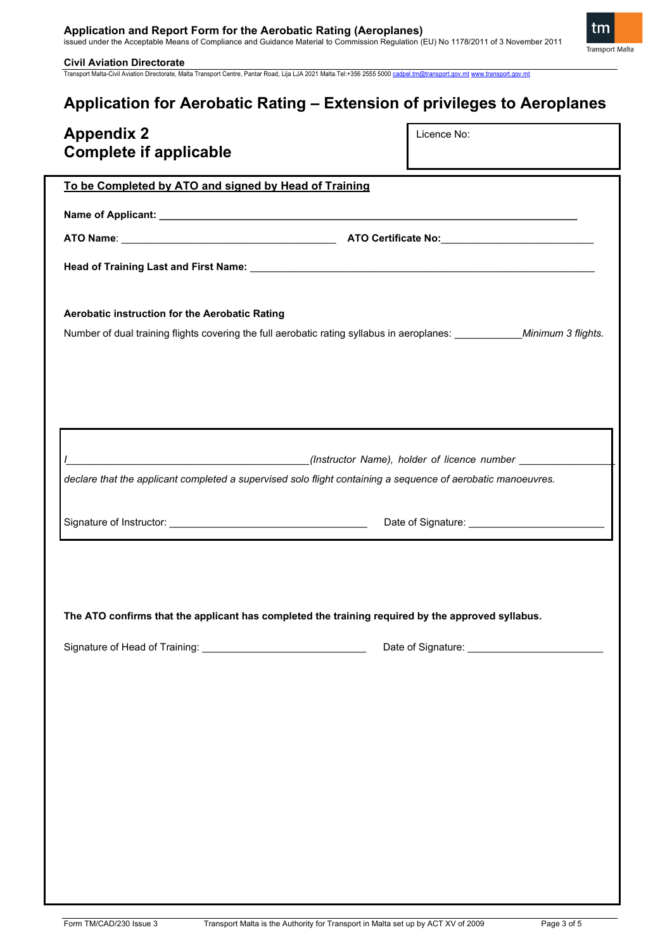# **Application and Report Form for the Aerobatic Rating (Aeroplanes)**<br>issued under the Acceptable Means of Compliance and Guidance Material to Commission Regulation (EU) No 1178/2011 of 3 November 2011

tm **Transport Malta** 

**Civil Aviation Directorate**  Transport Malta-Civil Aviation Directorate, Malta Transport Centre, Pantar Road, Lija LJA 2021 Malta.Tel:+356 2555 500[0 cadpel.tm@transport.gov.mt](mailto:cadpel.tm@transport.gov.mt) [www.transport.gov.mt](http://www.transport.gov.mt/)

# **Application for Aerobatic Rating – Extension of privileges to Aeroplanes**

| <b>Appendix 2</b><br><b>Complete if applicable</b>                                                                       | Licence No: |  |  |
|--------------------------------------------------------------------------------------------------------------------------|-------------|--|--|
| To be Completed by ATO and signed by Head of Training                                                                    |             |  |  |
|                                                                                                                          |             |  |  |
|                                                                                                                          |             |  |  |
|                                                                                                                          |             |  |  |
|                                                                                                                          |             |  |  |
| Aerobatic instruction for the Aerobatic Rating                                                                           |             |  |  |
| Number of dual training flights covering the full aerobatic rating syllabus in aeroplanes: ___________Minimum 3 flights. |             |  |  |
|                                                                                                                          |             |  |  |
|                                                                                                                          |             |  |  |
|                                                                                                                          |             |  |  |
|                                                                                                                          |             |  |  |
|                                                                                                                          |             |  |  |
|                                                                                                                          |             |  |  |
| declare that the applicant completed a supervised solo flight containing a sequence of aerobatic manoeuvres.             |             |  |  |
|                                                                                                                          |             |  |  |
|                                                                                                                          |             |  |  |
|                                                                                                                          |             |  |  |
|                                                                                                                          |             |  |  |
|                                                                                                                          |             |  |  |
| The ATO confirms that the applicant has completed the training required by the approved syllabus.                        |             |  |  |
|                                                                                                                          |             |  |  |
|                                                                                                                          |             |  |  |
|                                                                                                                          |             |  |  |
|                                                                                                                          |             |  |  |
|                                                                                                                          |             |  |  |
|                                                                                                                          |             |  |  |
|                                                                                                                          |             |  |  |
|                                                                                                                          |             |  |  |
|                                                                                                                          |             |  |  |
|                                                                                                                          |             |  |  |
|                                                                                                                          |             |  |  |
|                                                                                                                          |             |  |  |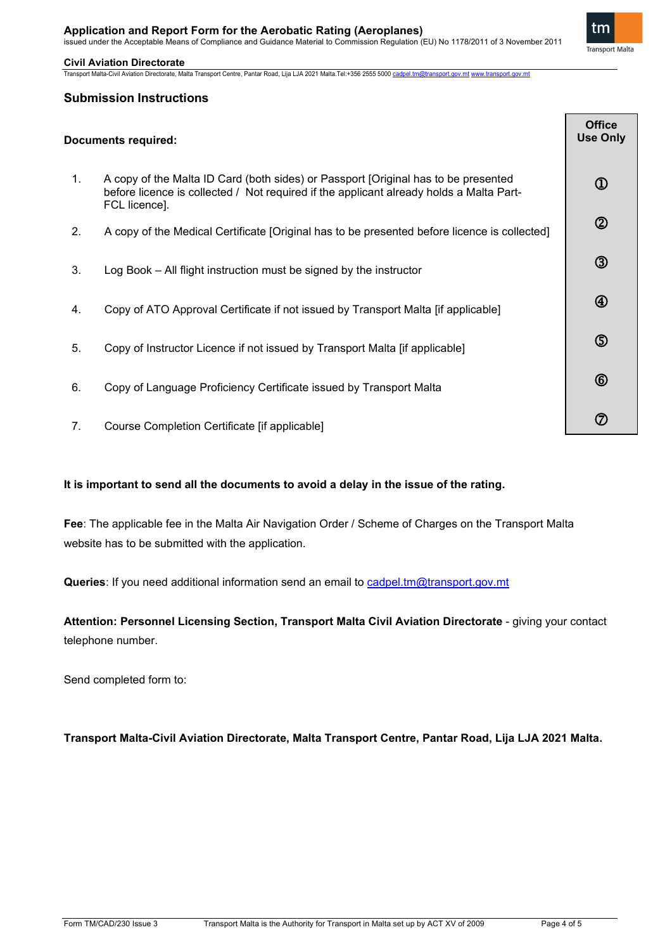# **Application and Report Form for the Aerobatic Rating (Aeroplanes)**

issued under the Acceptable Means of Compliance and Guidance Material to Commission Regulation (EU) No 1178/2011 of 3 November 2011

tm **Transport Malta** 

## **Civil Aviation Directorate**

Transport Malta-Civil Aviation Directorate, Malta Transport Centre, Pantar Road, Lija LJA 2021 Malta.Tel:+356 2555 500[0 cadpel.tm@transport.gov.mt](mailto:cadpel.tm@transport.gov.mt) [www.transport.gov.mt](http://www.transport.gov.mt/)

# **Submission Instructions**

|         | <b>Documents required:</b>                                                                                                                                                                     | <b>Office</b><br><b>Use Only</b>    |
|---------|------------------------------------------------------------------------------------------------------------------------------------------------------------------------------------------------|-------------------------------------|
| $1_{-}$ | A copy of the Malta ID Card (both sides) or Passport [Original has to be presented<br>before licence is collected / Not required if the applicant already holds a Malta Part-<br>FCL licence]. | $^{\textcircled{\footnotesize{1}}}$ |
| 2.      | A copy of the Medical Certificate [Original has to be presented before licence is collected]                                                                                                   | $^{\circledR}$                      |
| 3.      | Log Book – All flight instruction must be signed by the instructor                                                                                                                             | $\circled{3}$                       |
| 4.      | Copy of ATO Approval Certificate if not issued by Transport Malta [if applicable]                                                                                                              | $^{\circledR}$                      |
| 5.      | Copy of Instructor Licence if not issued by Transport Malta [if applicable]                                                                                                                    | $\circledS$                         |
| 6.      | Copy of Language Proficiency Certificate issued by Transport Malta                                                                                                                             | $^{\circledR}$                      |
| 7.      | Course Completion Certificate [if applicable]                                                                                                                                                  | ⑦                                   |

# **It is important to send all the documents to avoid a delay in the issue of the rating.**

**Fee**: The applicable fee in the Malta Air Navigation Order / Scheme of Charges on the Transport Malta website has to be submitted with the application.

Queries: If you need additional information send an email to cadpel.tm@transport.gov.mt

**Attention: Personnel Licensing Section, Transport Malta Civil Aviation Directorate** - giving your contact telephone number.

Send completed form to:

**Transport Malta-Civil Aviation Directorate, Malta Transport Centre, Pantar Road, Lija LJA 2021 Malta.**